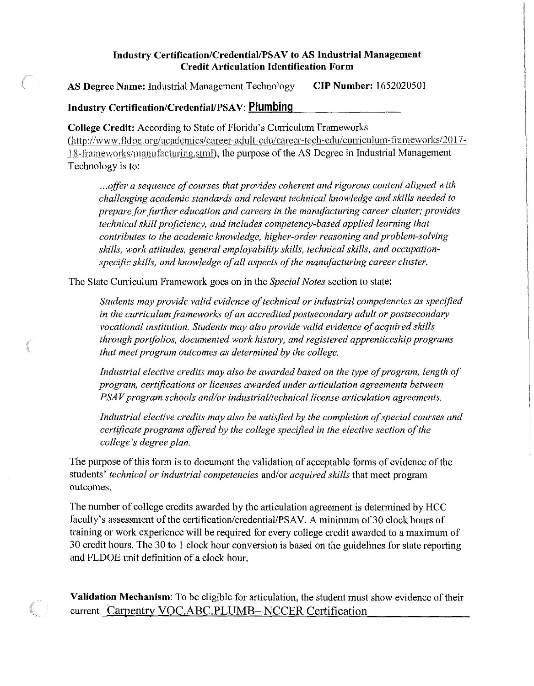## Industry Certification/Credential/PSAV to AS Industrial Management **Credit Articulation Identification Form**

**AS Degree Name:** Industrial Management Technology **CIP Number:** 1652020501

## **Industry Certification/Credential/PSAV: Plumbing**

**College Credit:** According to State of Florida's Curriculum Frameworks [\(hHp://www.fidoc.org/](https://hHp://www.fidoc.org) academics/ career-adult-edu/ career-tech-edu/curricul um-frameworks/20 I 7- 18-frameworks/manufacturing.stml), the purpose of the AS Degree in Industrial Management Technology is to:

...offer a sequence of courses that provides coherent and rigorous content aligned with *challenging academic standards and relevant technical knowledge and skills needed to prepare for further education and careers in the manufacturing career cluster; provides technical skill proficiency, and includes competency-based applied learning that contributes to the academic knowledge, higher-order reasoning and problem-solving*  skills, work attitudes, general employability skills, technical skills, and occupation*specific skills, and knowledge of all aspects of the manufacturing career cluster.* 

The State Curriculum Framework goes on in the *Special Notes* section to state:

Students may provide valid evidence of technical or industrial competencies as specified in the curriculum frameworks of an accredited postsecondary adult or postsecondary *vocational institution. Students may also provide valid evidence of acquired skills through portfolios, documented work history, and registered apprenticeship programs that meet program outcomes as determined by the college.* 

*Industrial elective credits may also be awarded based on the type of program, length of program, certifications or licenses awarded under articulation agreements between PSAV program schools and/or industrial/technical license articulation agreements.* 

Industrial elective credits may also be satisfied by the completion of special courses and *certificate programs offered by the college specified in the elective section of the college's degree plan.* 

The purpose of this form is to document the validation of acceptable forms of evidence of the students' *technical or industrial competencies* and/or *acquired skills* that meet program outcomes.

The number of college credits awarded by the articulation agreement is determined by HCC faculty's assessment of the certification/credential/PSAV. A minimum of 30 clock hours of training or work experience will be required for every college credit awarded to a maximum of 30 credit hours. The 30 to I clock hour conversion is based on the guidelines for state reporting and FLDOE unit definition of a clock hour.

**Validation Mechanism:** To be eligible for articulation, the student must show evidence of their current Carpentry VOC.ABC.PLUMB- NCCER Certification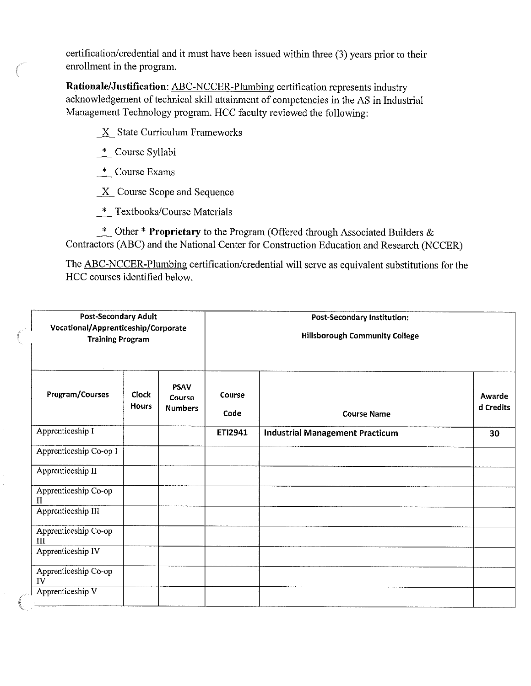certification/credential and it must have been issued within three (3) years prior to their enrollment in the program.

**Rationale/Justification:** ABC-NCCER-Plumbing certification represents industry acknowledgement of technical skill attainment of competencies in the AS in Industrial Management Technology program. HCC faculty reviewed the following:

 $\underline{X}$  State Curriculum Frameworks

- \_\*\_ Course Syllabi
- \_\*\_ Course Exams
- $\underline{X}$  Course Scope and Sequence
- \_\*\_ Textbooks/Course Materials

\_\*\_ Other \***Proprietary** to the Program (Offered through Associated Builders & Contractors (ABC) and the National Center for Construction Education and Research (NCCER)

The ABC-NCCER-Plumbing certification/credential will serve as equivalent substitutions for the HCC courses identified below.

| <b>Post-Secondary Adult</b><br>Vocational/Apprenticeship/Corporate<br><b>Training Program</b> |                              |                                         | <b>Post-Secondary Institution:</b><br><b>Hillsborough Community College</b> |                                        |                     |
|-----------------------------------------------------------------------------------------------|------------------------------|-----------------------------------------|-----------------------------------------------------------------------------|----------------------------------------|---------------------|
| Program/Courses                                                                               | <b>Clock</b><br><b>Hours</b> | <b>PSAV</b><br>Course<br><b>Numbers</b> | Course<br>Code                                                              | <b>Course Name</b>                     | Awarde<br>d Credits |
| Apprenticeship I                                                                              |                              |                                         | ETI2941                                                                     | <b>Industrial Management Practicum</b> | 30                  |
| Apprenticeship Co-op I                                                                        |                              |                                         |                                                                             |                                        |                     |
| Apprenticeship II                                                                             |                              |                                         |                                                                             |                                        |                     |
| Apprenticeship Co-op<br>$\rm II$                                                              |                              |                                         |                                                                             |                                        |                     |
| Apprenticeship III                                                                            |                              |                                         |                                                                             |                                        |                     |
| Apprenticeship Co-op<br>$\mathbf{H}$                                                          |                              |                                         |                                                                             |                                        |                     |
| Apprenticeship IV                                                                             |                              |                                         |                                                                             |                                        |                     |
| Apprenticeship Co-op<br>IV                                                                    |                              |                                         |                                                                             |                                        |                     |
| Apprenticeship V                                                                              |                              |                                         |                                                                             |                                        |                     |